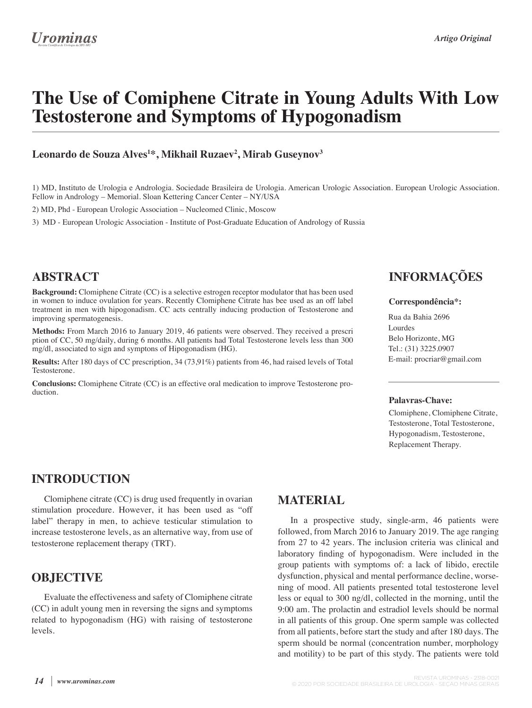# **The Use of Comiphene Citrate in Young Adults With Low Testosterone and Symptoms of Hypogonadism**

#### **Leonardo de Souza Alves1 \*, Mikhail Ruzaev2 , Mirab Guseynov3**

1) MD, Instituto de Urologia e Andrologia. Sociedade Brasileira de Urologia. American Urologic Association. European Urologic Association. Fellow in Andrology – Memorial. Sloan Kettering Cancer Center – NY/USA

2) MD, Phd - European Urologic Association – Nucleomed Clinic, Moscow

3) MD - European Urologic Association - Institute of Post-Graduate Education of Andrology of Russia

### **ABSTRACT**

**Background:** Clomiphene Citrate (CC) is a selective estrogen receptor modulator that has been used in women to induce ovulation for years. Recently Clomiphene Citrate has bee used as an off label treatment in men with hipogonadism. CC acts centrally inducing production of Testosterone and improving spermatogenesis.

**Methods:** From March 2016 to January 2019, 46 patients were observed. They received a prescri ption of CC, 50 mg/daily, during 6 months. All patients had Total Testosterone levels less than 300 mg/dl, associated to sign and symptons of Hipogonadism (HG).

**Results:** After 180 days of CC prescription, 34 (73,91%) patients from 46, had raised levels of Total Testosterone.

**Conclusions:** Clomiphene Citrate (CC) is an effective oral medication to improve Testosterone production.

## **INFORMAÇÕES**

#### **Correspondência\*:**

Rua da Bahia 2696 Lourdes Belo Horizonte, MG Tel.: (31) 3225.0907 E-mail: procriar@gmail.com

#### **Palavras-Chave:**

Clomiphene, Clomiphene Citrate, Testosterone, Total Testosterone, Hypogonadism, Testosterone, Replacement Therapy.

## **INTRODUCTION**

Clomiphene citrate (CC) is drug used frequently in ovarian stimulation procedure. However, it has been used as "off label" therapy in men, to achieve testicular stimulation to increase testosterone levels, as an alternative way, from use of testosterone replacement therapy (TRT).

#### **OBJECTIVE**

Evaluate the effectiveness and safety of Clomiphene citrate (CC) in adult young men in reversing the signs and symptoms related to hypogonadism (HG) with raising of testosterone levels.

## **MATERIAL**

In a prospective study, single-arm, 46 patients were followed, from March 2016 to January 2019. The age ranging from 27 to 42 years. The inclusion criteria was clinical and laboratory finding of hypogonadism. Were included in the group patients with symptoms of: a lack of libido, erectile dysfunction, physical and mental performance decline, worsening of mood. All patients presented total testosterone level less or equal to 300 ng/dl, collected in the morning, until the 9:00 am. The prolactin and estradiol levels should be normal in all patients of this group. One sperm sample was collected from all patients, before start the study and after 180 days. The sperm should be normal (concentration number, morphology and motility) to be part of this stydy. The patients were told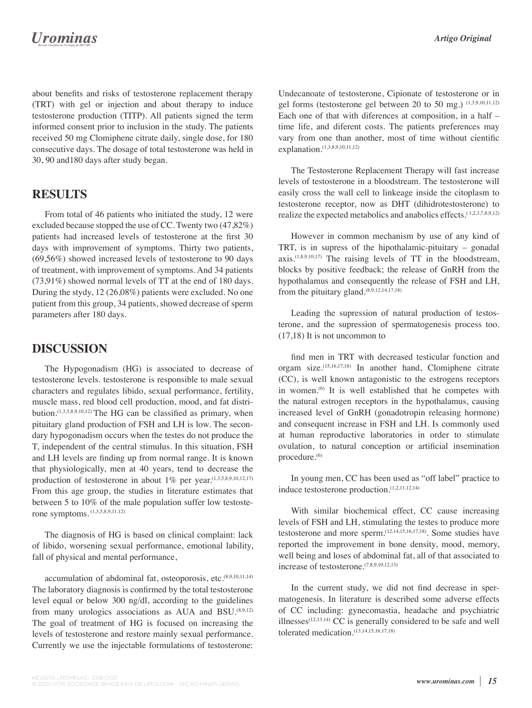## **Urominas**

about benefits and risks of testosterone replacement therapy (TRT) with gel or injection and about therapy to induce testosterone production (TITP). All patients signed the term informed consent prior to inclusion in the study. The patients received 50 mg Clomiphene citrate daily, single dose, for 180 consecutive days. The dosage of total testosterone was held in 30, 90 and180 days after study began.

## **RESULTS**

From total of 46 patients who initiated the study, 12 were excluded because stopped the use of CC. Twenty two (47,82%) patients had increased levels of testosterone at the first 30 days with improvement of symptoms. Thirty two patients, (69,56%) showed increased levels of testosterone to 90 days of treatment, with improvement of symptoms. And 34 patients (73,91%) showed normal levels of TT at the end of 180 days. During the stydy, 12 (26,08%) patients were excluded. No one patient from this group, 34 patients, showed decrease of sperm parameters after 180 days.

### **DISCUSSION**

The Hypogonadism (HG) is associated to decrease of testosterone levels. testosterone is responsible to male sexual characters and regulates libido, sexual performance, fertility, muscle mass, red blood cell production, mood, and fat distribution.<sup> $(1,3,5,8,9,10,12)$ </sup> The HG can be classified as primary, when pituitary gland production of FSH and LH is low. The secondary hypogonadism occurs when the testes do not produce the T, independent of the central stimulus. In this situation, FSH and LH levels are finding up from normal range. It is known that physiologically, men at 40 years, tend to decrease the production of testosterone in about  $1\%$  per year.<sup>(1,3,5,8,9,10,12,17)</sup> From this age group, the studies in literature estimates that between 5 to 10% of the male population suffer low testosterone symptoms. (1,3,5,8,9,11,12)

The diagnosis of HG is based on clinical complaint: lack of libido, worsening sexual performance, emotional lability, fall of physical and mental performance,

accumulation of abdominal fat, osteoporosis, etc.<sup>(8,9,10,11,14)</sup> The laboratory diagnosis is confirmed by the total testosterone level equal or below 300 ng/dl, according to the guidelines from many urologics associations as AUA and BSU.<sup>(8,9,12)</sup> The goal of treatment of HG is focused on increasing the levels of testosterone and restore mainly sexual performance. Currently we use the injectable formulations of testosterone:

Undecanoate of testosterone, Cipionate of testosterone or in gel forms (testosterone gel between 20 to 50 mg.) (1,3,9,10,11,12) Each one of that with diferences at composition, in a half – time life, and diferent costs. The patients preferences may vary from one than another, most of time without cientific explanation.<sup>(1,3,8,9,10,11,12)</sup>

The Testosterone Replacement Therapy will fast increase levels of testosterone in a bloodstream. The testosterone will easily cross the wall cell to linkeage inside the citoplasm to testosterone receptor, now as DHT (dihidrotestosterone) to realize the expected metabolics and anabolics effects.<sup>(1,2,3,7,8,9,12)</sup>

However in common mechanism by use of any kind of TRT, is in supress of the hipothalamic-pituitary – gonadal  $axis.$ <sup>(1,8,9,10,17)</sup> The raising levels of TT in the bloodstream, blocks by positive feedback; the release of GnRH from the hypothalamus and consequently the release of FSH and LH, from the pituitary gland.(8,9,12,14,17,18)

Leading the supression of natural production of testosterone, and the supression of spermatogenesis process too. (17,18) It is not uncommon to

find men in TRT with decreased testicular function and orgam size.(15,16,17,18) In another hand, Clomiphene citrate (CC), is well known antagonistic to the estrogens receptors in women.<sup>(6)</sup> It is well established that he competes with the natural estrogen receptors in the hypothalamus, causing increased level of GnRH (gonadotropin releasing hormone) and consequent increase in FSH and LH. Is commonly used at human reproductive laboratories in order to stimulate ovulation, to natural conception or artificial insemination procedure.<sup>(6)</sup>

In young men, CC has been used as "off label" practice to induce testosterone production.(1,2,11,12,14)

With similar biochemical effect, CC cause increasing levels of FSH and LH, stimulating the testes to produce more testosterone and more sperm.(12,14,15,16,17,18). Some studies have reported the improvement in bone density, mood, memory, well being and loses of abdominal fat, all of that associated to increase of testosterone.(7,8,9,10,12,13)

In the current study, we did not find decrease in spermatogenesis. In literature is described some adverse effects of CC including: gynecomastia, headache and psychiatric illnesses $(12,13,14)$  CC is generally considered to be safe and well tolerated medication.(13,14,15,16,17,18)